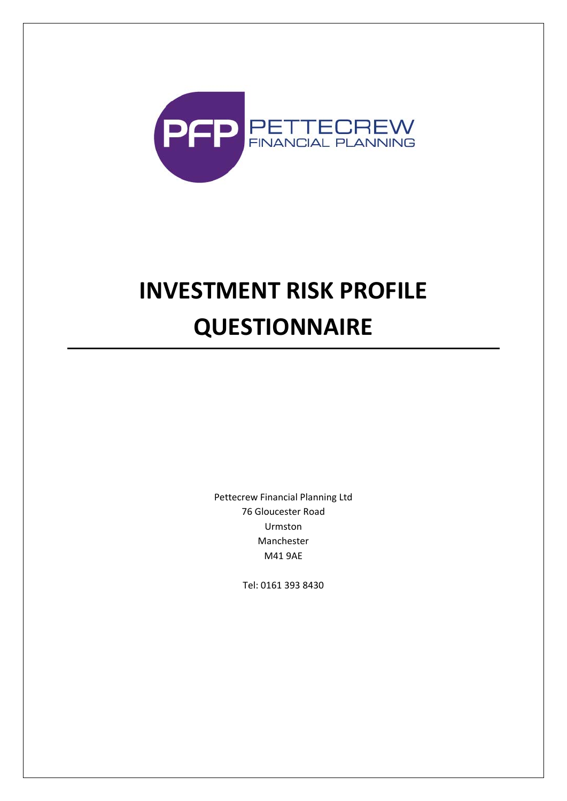

# **INVESTMENT RISK PROFILE QUESTIONNAIRE**

Pettecrew Financial Planning Ltd 76 Gloucester Road Urmston Manchester M41 9AE

Tel: 0161 393 8430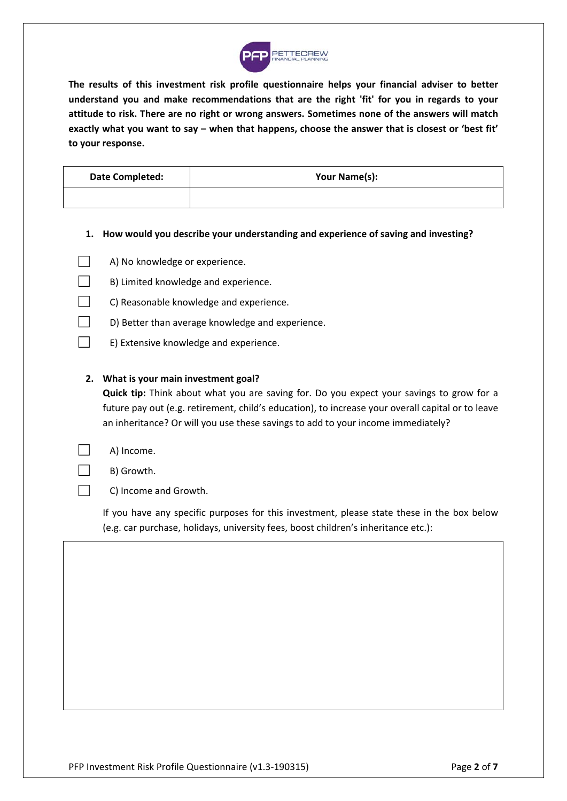

**The results of this investment risk profile questionnaire helps your financial adviser to better understand you and make recommendations that are the right 'fit' for you in regards to your attitude to risk. There are no right or wrong answers. Sometimes none of the answers will match exactly what you want to say – when that happens, choose the answer that is closest or 'best fit' to your response.** 

| Date Completed: | Your Name(s): |
|-----------------|---------------|
|                 |               |

**1. How would you describe your understanding and experience of saving and investing?** 

| $\Box$ | A) No knowledge or experience. |
|--------|--------------------------------|
|--------|--------------------------------|

- ☐ B) Limited knowledge and experience.
- C) Reasonable knowledge and experience.
- $\Box$  D) Better than average knowledge and experience.
- ☐ E) Extensive knowledge and experience.

### **2. What is your main investment goal?**

**Quick tip:** Think about what you are saving for. Do you expect your savings to grow for a future pay out (e.g. retirement, child's education), to increase your overall capital or to leave an inheritance? Or will you use these savings to add to your income immediately?

| A) Income. |
|------------|
|------------|

 $\Box$  B) Growth.

□ C) Income and Growth.

If you have any specific purposes for this investment, please state these in the box below (e.g. car purchase, holidays, university fees, boost children's inheritance etc.):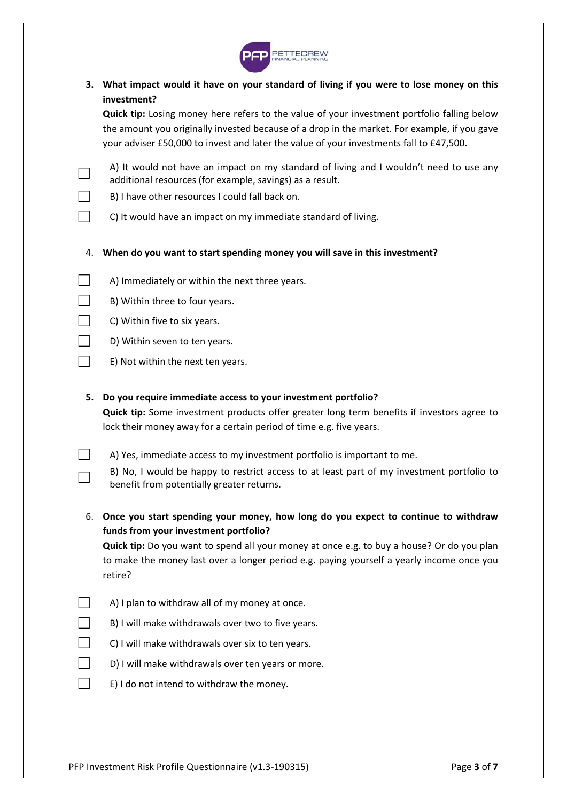

**3. What impact would it have on your standard of living if you were to lose money on this investment?** 

**Quick tip:** Losing money here refers to the value of your investment portfolio falling below the amount you originally invested because of a drop in the market. For example, if you gave your adviser £50,000 to invest and later the value of your investments fall to £47,500.

- $\rightarrow$  A) It would not have an impact on my standard of living and I wouldn't need to use any additional resources (for example, savings) as a result.
- $\Box$  B) I have other resources I could fall back on.
- $\Box$  C) It would have an impact on my immediate standard of living.
- 4. **When do you want to start spending money you will save in this investment?**
- $\Box$  A) Immediately or within the next three years.
- $\Box$  B) Within three to four years.
- $\Box$  C) Within five to six years.
- $\Box$  D) Within seven to ten years.
- $\Box$  E) Not within the next ten years.

#### **5. Do you require immediate access to your investment portfolio?**

**Quick tip:** Some investment products offer greater long term benefits if investors agree to lock their money away for a certain period of time e.g. five years.

 $\Box$  A) Yes, immediate access to my investment portfolio is important to me.

| $\Box$<br>┕═ | B) No, I would be happy to restrict access to at least part of my investment portfolio to |
|--------------|-------------------------------------------------------------------------------------------|
|              | benefit from potentially greater returns.                                                 |

6. **Once you start spending your money, how long do you expect to continue to withdraw funds from your investment portfolio?**

**Quick tip:** Do you want to spend all your money at once e.g. to buy a house? Or do you plan to make the money last over a longer period e.g. paying yourself a yearly income once you retire?

- $\Box$  A) I plan to withdraw all of my money at once.
- $\Box$  B) I will make withdrawals over two to five years.
- $\Box$  C) I will make withdrawals over six to ten years.
- $\Box$  D) I will make withdrawals over ten years or more.
- $\Box$  E) I do not intend to withdraw the money.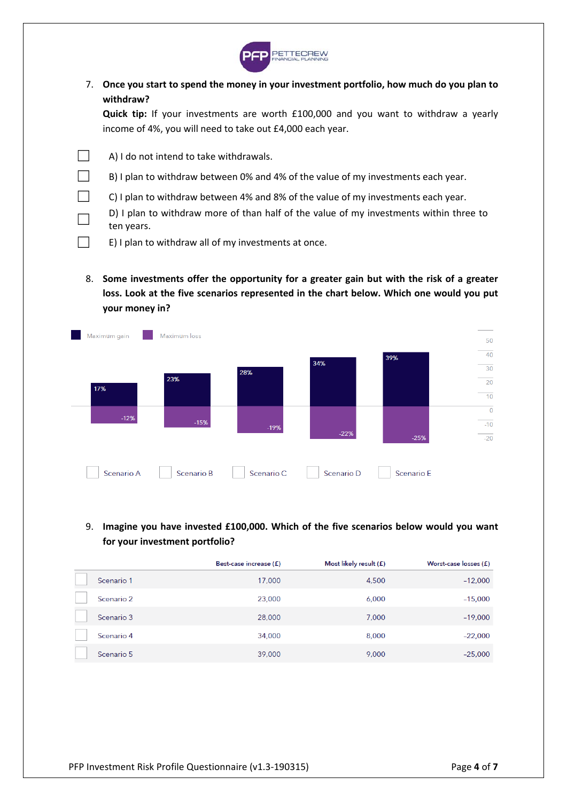

7. **Once you start to spend the money in your investment portfolio, how much do you plan to withdraw?**

**Quick tip:**  If your investments are worth £100,000 and you want to withdraw a yearly income of 4%, you will need to take out £4,000 each year.

 $\Box$  A) I do not intend to take withdrawals.

- $\Box$  B) I plan to withdraw between 0% and 4% of the value of my investments each year.
- $\Box$  C) I plan to withdraw between 4% and 8% of the value of my investments each year.
	- D) I plan to withdraw more of than half of the value of my investments within three to ten years.
- $\Box$  E) I plan to withdraw all of my investments at once.
	- 8. **Some investments offer the opportunity for a greater gain but with the risk of a greater loss. Look at the five scenarios represented in the chart below. Which one would you put your money in?**



# 9. **Imagine you have invested £100,000. Which of the five scenarios below would you want for your investment portfolio?**

|            | Best-case increase (£) | Most likely result $(f)$ | Worst-case losses (£) |
|------------|------------------------|--------------------------|-----------------------|
| Scenario 1 | 17,000                 | 4,500                    | $-12,000$             |
| Scenario 2 | 23,000                 | 6,000                    | $-15,000$             |
| Scenario 3 | 28,000                 | 7,000                    | $-19,000$             |
| Scenario 4 | 34,000                 | 8,000                    | $-22,000$             |
| Scenario 5 | 39,000                 | 9,000                    | $-25,000$             |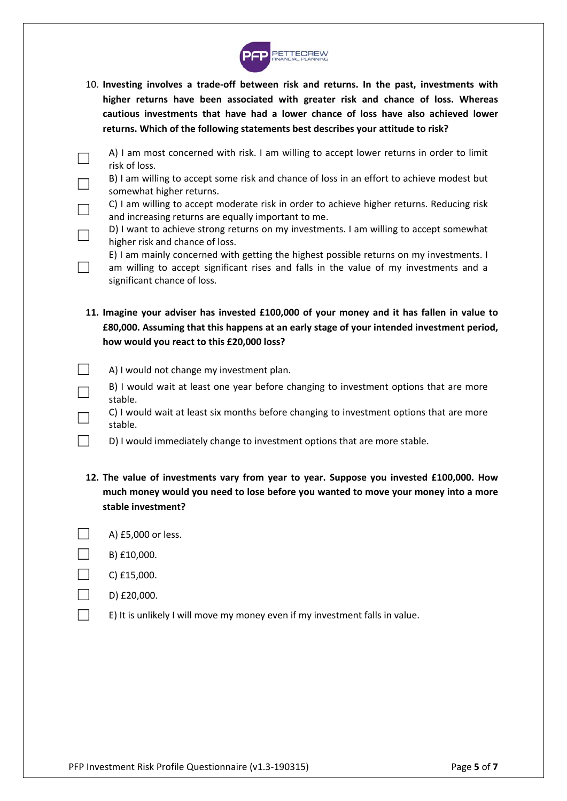

- 10. **Investing involves a trade‐off between risk and returns. In the past, investments with higher returns have been associated with greater risk and chance of loss. Whereas cautious investments that have had a lower chance of loss have also achieved lower returns. Which of the following statements best describes your attitude to risk?**
- $\rightarrow$  A) I am most concerned with risk. I am willing to accept lower returns in order to limit risk of loss.
	- B) I am willing to accept some risk and chance of loss in an effort to achieve modest but somewhat higher returns.
	- C) I am willing to accept moderate risk in order to achieve higher returns. Reducing risk and increasing returns are equally important to me.
	- D) I want to achieve strong returns on my investments. I am willing to accept somewhat higher risk and chance of loss.
	- E) I am mainly concerned with getting the highest possible returns on my investments. I am willing to accept significant rises and falls in the value of my investments and a significant chance of loss.
- **11. Imagine your adviser has invested £100,000 of your money and it has fallen in value to £80,000. Assuming that this happens at an early stage of your intended investment period, how would you react to this £20,000 loss?**
- $\Box$  A) I would not change my investment plan.
	- B) I would wait at least one year before changing to investment options that are more stable.
	- ☐ C) I would wait at least six months before changing to investment options that are more stable.
	- D) I would immediately change to investment options that are more stable.
- **12. The value of investments vary from year to year. Suppose you invested £100,000. How much money would you need to lose before you wanted to move your money into a more stable investment?**
- A) £5,000 or less.
- $\Box$  B) £10,000.

 $\Box$ 

- $\Box$  C) £15,000.
- D) £20,000.
	- E) It is unlikely I will move my money even if my investment falls in value.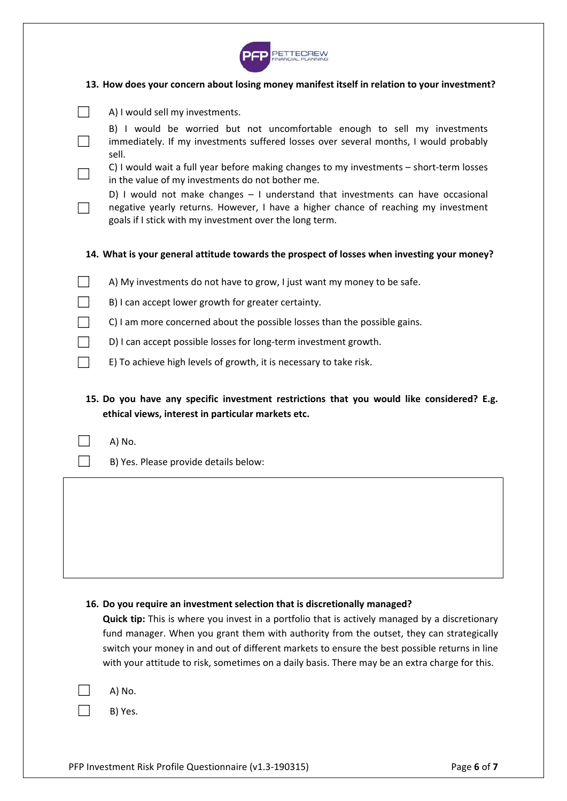

## **13. How does your concern about losing money manifest itself in relation to your investment?**

| A) I would sell my investments.                                                                                                                                                                                                  |
|----------------------------------------------------------------------------------------------------------------------------------------------------------------------------------------------------------------------------------|
| B) I would be worried but not uncomfortable enough to sell my investments<br>immediately. If my investments suffered losses over several months, I would probably<br>sell.                                                       |
| C) I would wait a full year before making changes to my investments - short-term losses<br>in the value of my investments do not bother me.                                                                                      |
| D) I would not make changes - I understand that investments can have occasional<br>negative yearly returns. However, I have a higher chance of reaching my investment<br>goals if I stick with my investment over the long term. |
| 14. What is your general attitude towards the prospect of losses when investing your money?                                                                                                                                      |
| A) My investments do not have to grow, I just want my money to be safe.                                                                                                                                                          |
| B) I can accept lower growth for greater certainty.                                                                                                                                                                              |
| C) I am more concerned about the possible losses than the possible gains.                                                                                                                                                        |
| D) I can accept possible losses for long-term investment growth.                                                                                                                                                                 |
| E) To achieve high levels of growth, it is necessary to take risk.                                                                                                                                                               |
| 15. Do you have any specific investment restrictions that you would like considered? E.g.<br>ethical views, interest in particular markets etc.                                                                                  |
| A) No.                                                                                                                                                                                                                           |
| B) Yes. Please provide details below:                                                                                                                                                                                            |
|                                                                                                                                                                                                                                  |

#### **16. Do you require an investment selection that is discretionally managed?**

**Quick tip:** This is where you invest in a portfolio that is actively managed by a discretionary fund manager. When you grant them with authority from the outset, they can strategically switch your money in and out of different markets to ensure the best possible returns in line with your attitude to risk, sometimes on a daily basis. There may be an extra charge for this.

A) No.

B) Yes.